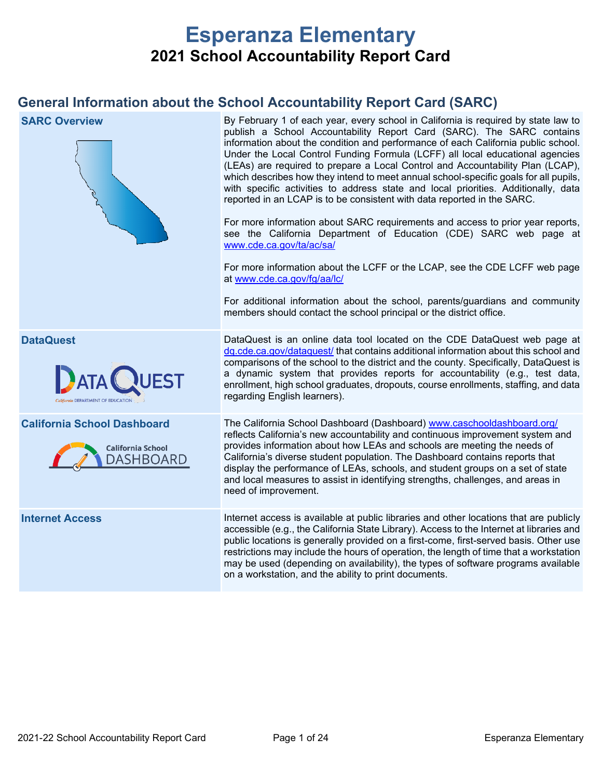# **Esperanza Elementary 2021 School Accountability Report Card**

# **General Information about the School Accountability Report Card (SARC)**

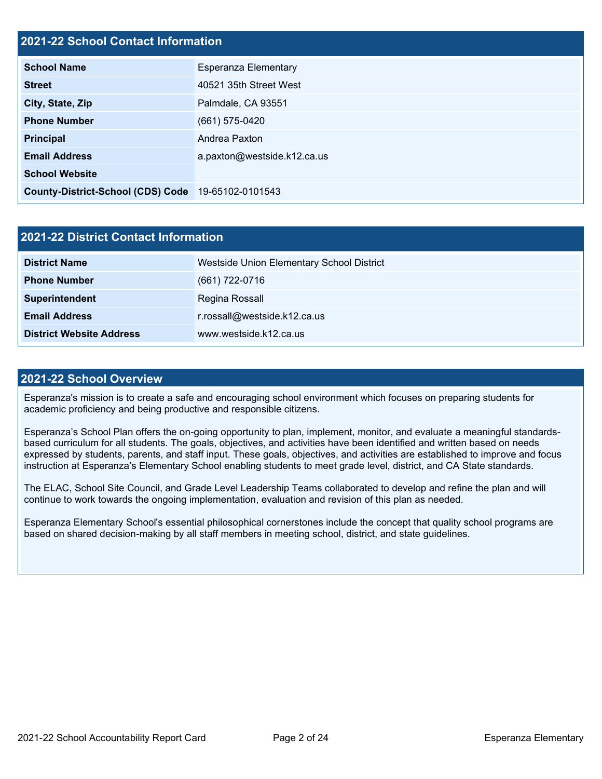# **2021-22 School Contact Information**

| EVE I LE OUNUUI SUNUUT MIUNIMUUNI        |                             |  |  |  |
|------------------------------------------|-----------------------------|--|--|--|
| <b>School Name</b>                       | Esperanza Elementary        |  |  |  |
| <b>Street</b>                            | 40521 35th Street West      |  |  |  |
| City, State, Zip                         | Palmdale, CA 93551          |  |  |  |
| <b>Phone Number</b>                      | $(661)$ 575-0420            |  |  |  |
| <b>Principal</b>                         | Andrea Paxton               |  |  |  |
| <b>Email Address</b>                     | a.paxton@westside.k12.ca.us |  |  |  |
| <b>School Website</b>                    |                             |  |  |  |
| <b>County-District-School (CDS) Code</b> | 19-65102-0101543            |  |  |  |

| <b>2021-22 District Contact Information</b> |                                           |  |  |  |  |
|---------------------------------------------|-------------------------------------------|--|--|--|--|
| <b>District Name</b>                        | Westside Union Elementary School District |  |  |  |  |
| <b>Phone Number</b>                         | $(661) 722 - 0716$                        |  |  |  |  |
| Superintendent                              | Regina Rossall                            |  |  |  |  |
| <b>Email Address</b>                        | r.rossall@westside.k12.ca.us              |  |  |  |  |
| <b>District Website Address</b>             | www.westside.k12.ca.us                    |  |  |  |  |

### **2021-22 School Overview**

Esperanza's mission is to create a safe and encouraging school environment which focuses on preparing students for academic proficiency and being productive and responsible citizens.

Esperanza's School Plan offers the on-going opportunity to plan, implement, monitor, and evaluate a meaningful standardsbased curriculum for all students. The goals, objectives, and activities have been identified and written based on needs expressed by students, parents, and staff input. These goals, objectives, and activities are established to improve and focus instruction at Esperanza's Elementary School enabling students to meet grade level, district, and CA State standards.

The ELAC, School Site Council, and Grade Level Leadership Teams collaborated to develop and refine the plan and will continue to work towards the ongoing implementation, evaluation and revision of this plan as needed.

Esperanza Elementary School's essential philosophical cornerstones include the concept that quality school programs are based on shared decision-making by all staff members in meeting school, district, and state guidelines.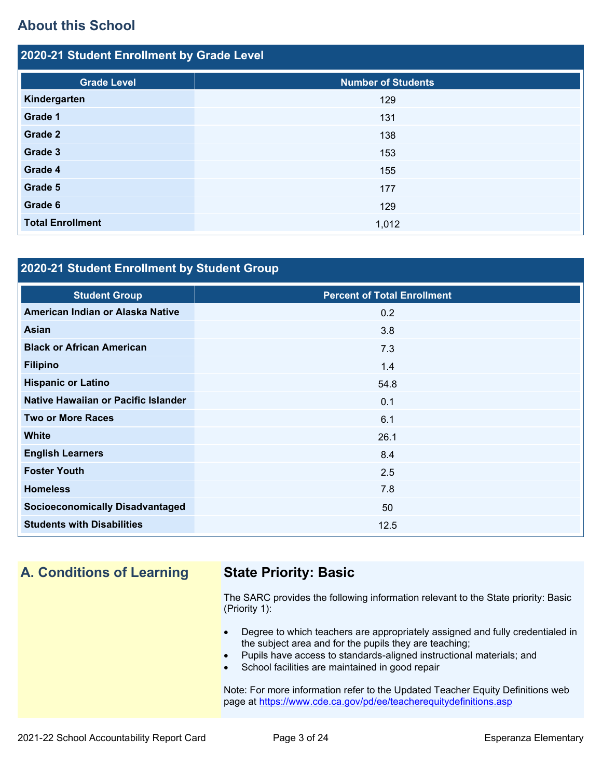# **About this School**

| 2020-21 Student Enrollment by Grade Level |                           |  |  |  |  |
|-------------------------------------------|---------------------------|--|--|--|--|
| <b>Grade Level</b>                        | <b>Number of Students</b> |  |  |  |  |
| Kindergarten                              | 129                       |  |  |  |  |
| Grade 1                                   | 131                       |  |  |  |  |
| Grade 2                                   | 138                       |  |  |  |  |
| Grade 3                                   | 153                       |  |  |  |  |
| Grade 4                                   | 155                       |  |  |  |  |
| Grade 5                                   | 177                       |  |  |  |  |
| Grade 6                                   | 129                       |  |  |  |  |
| <b>Total Enrollment</b>                   | 1,012                     |  |  |  |  |

# **2020-21 Student Enrollment by Student Group**

| <b>Student Group</b>                   | <b>Percent of Total Enrollment</b> |
|----------------------------------------|------------------------------------|
| American Indian or Alaska Native       | 0.2                                |
| <b>Asian</b>                           | 3.8                                |
| <b>Black or African American</b>       | 7.3                                |
| <b>Filipino</b>                        | 1.4                                |
| <b>Hispanic or Latino</b>              | 54.8                               |
| Native Hawaiian or Pacific Islander    | 0.1                                |
| <b>Two or More Races</b>               | 6.1                                |
| <b>White</b>                           | 26.1                               |
| <b>English Learners</b>                | 8.4                                |
| <b>Foster Youth</b>                    | 2.5                                |
| <b>Homeless</b>                        | 7.8                                |
| <b>Socioeconomically Disadvantaged</b> | 50                                 |
| <b>Students with Disabilities</b>      | 12.5                               |

# **A. Conditions of Learning State Priority: Basic**

The SARC provides the following information relevant to the State priority: Basic (Priority 1):

- Degree to which teachers are appropriately assigned and fully credentialed in the subject area and for the pupils they are teaching;
- Pupils have access to standards-aligned instructional materials; and
- School facilities are maintained in good repair

Note: For more information refer to the Updated Teacher Equity Definitions web page at<https://www.cde.ca.gov/pd/ee/teacherequitydefinitions.asp>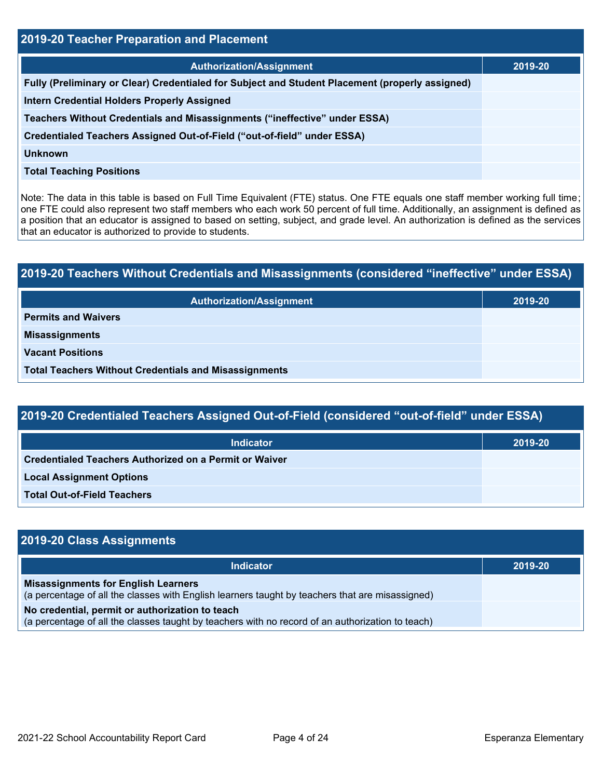| 2019-20 Teacher Preparation and Placement                                                       |         |  |  |  |
|-------------------------------------------------------------------------------------------------|---------|--|--|--|
| <b>Authorization/Assignment</b>                                                                 | 2019-20 |  |  |  |
| Fully (Preliminary or Clear) Credentialed for Subject and Student Placement (properly assigned) |         |  |  |  |
| <b>Intern Credential Holders Properly Assigned</b>                                              |         |  |  |  |
| Teachers Without Credentials and Misassignments ("ineffective" under ESSA)                      |         |  |  |  |
| Credentialed Teachers Assigned Out-of-Field ("out-of-field" under ESSA)                         |         |  |  |  |
| <b>Unknown</b>                                                                                  |         |  |  |  |
| <b>Total Teaching Positions</b>                                                                 |         |  |  |  |

Note: The data in this table is based on Full Time Equivalent (FTE) status. One FTE equals one staff member working full time; one FTE could also represent two staff members who each work 50 percent of full time. Additionally, an assignment is defined as a position that an educator is assigned to based on setting, subject, and grade level. An authorization is defined as the services that an educator is authorized to provide to students.

# **2019-20 Teachers Without Credentials and Misassignments (considered "ineffective" under ESSA) Authorization/Assignment 2019-20 Permits and Waivers Misassignments Vacant Positions Total Teachers Without Credentials and Misassignments**

| 2019-20 Credentialed Teachers Assigned Out-of-Field (considered "out-of-field" under ESSA) |         |  |  |  |
|--------------------------------------------------------------------------------------------|---------|--|--|--|
| <b>Indicator</b>                                                                           | 2019-20 |  |  |  |
| Credentialed Teachers Authorized on a Permit or Waiver                                     |         |  |  |  |
| <b>Local Assignment Options</b>                                                            |         |  |  |  |
| <b>Total Out-of-Field Teachers</b>                                                         |         |  |  |  |

| 2019-20 Class Assignments                                                                                                                           |         |
|-----------------------------------------------------------------------------------------------------------------------------------------------------|---------|
| <b>Indicator</b>                                                                                                                                    | 2019-20 |
| <b>Misassignments for English Learners</b><br>(a percentage of all the classes with English learners taught by teachers that are misassigned)       |         |
| No credential, permit or authorization to teach<br>(a percentage of all the classes taught by teachers with no record of an authorization to teach) |         |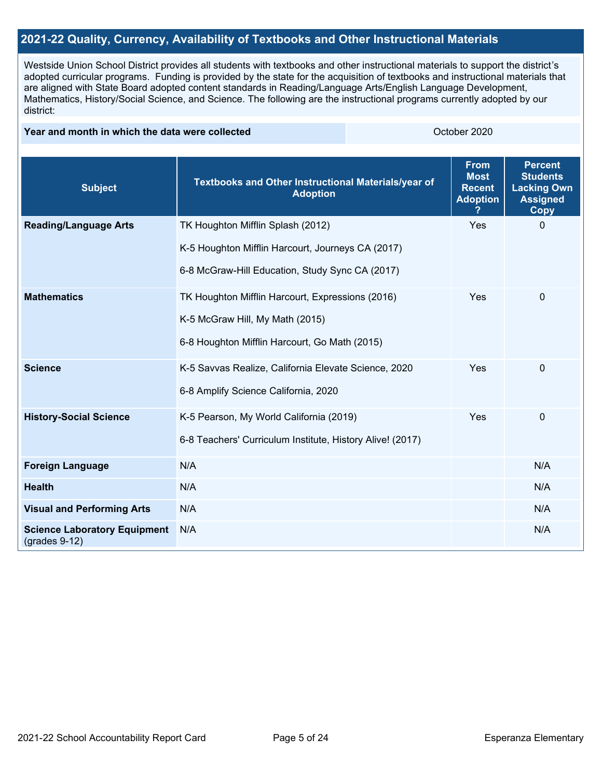# **2021-22 Quality, Currency, Availability of Textbooks and Other Instructional Materials**

Westside Union School District provides all students with textbooks and other instructional materials to support the district's adopted curricular programs. Funding is provided by the state for the acquisition of textbooks and instructional materials that are aligned with State Board adopted content standards in Reading/Language Arts/English Language Development, Mathematics, History/Social Science, and Science. The following are the instructional programs currently adopted by our district:

#### **Year and month in which the data were collected Collection Collection Collection Collection** October 2020

| <b>Subject</b>                                         | Textbooks and Other Instructional Materials/year of<br><b>Adoption</b> | <b>From</b><br><b>Most</b><br><b>Recent</b><br><b>Adoption</b> | <b>Percent</b><br><b>Students</b><br><b>Lacking Own</b><br><b>Assigned</b><br><b>Copy</b> |
|--------------------------------------------------------|------------------------------------------------------------------------|----------------------------------------------------------------|-------------------------------------------------------------------------------------------|
| <b>Reading/Language Arts</b>                           | TK Houghton Mifflin Splash (2012)                                      | Yes                                                            | $\Omega$                                                                                  |
|                                                        | K-5 Houghton Mifflin Harcourt, Journeys CA (2017)                      |                                                                |                                                                                           |
|                                                        | 6-8 McGraw-Hill Education, Study Sync CA (2017)                        |                                                                |                                                                                           |
| <b>Mathematics</b>                                     | TK Houghton Mifflin Harcourt, Expressions (2016)                       | Yes                                                            | $\mathbf 0$                                                                               |
|                                                        | K-5 McGraw Hill, My Math (2015)                                        |                                                                |                                                                                           |
|                                                        | 6-8 Houghton Mifflin Harcourt, Go Math (2015)                          |                                                                |                                                                                           |
| <b>Science</b>                                         | K-5 Savvas Realize, California Elevate Science, 2020                   | Yes                                                            | $\mathbf 0$                                                                               |
|                                                        | 6-8 Amplify Science California, 2020                                   |                                                                |                                                                                           |
| <b>History-Social Science</b>                          | K-5 Pearson, My World California (2019)                                | Yes                                                            | 0                                                                                         |
|                                                        | 6-8 Teachers' Curriculum Institute, History Alive! (2017)              |                                                                |                                                                                           |
| <b>Foreign Language</b>                                | N/A                                                                    |                                                                | N/A                                                                                       |
| <b>Health</b>                                          | N/A                                                                    |                                                                | N/A                                                                                       |
| <b>Visual and Performing Arts</b>                      | N/A                                                                    |                                                                | N/A                                                                                       |
| <b>Science Laboratory Equipment</b><br>$(grades 9-12)$ | N/A                                                                    |                                                                | N/A                                                                                       |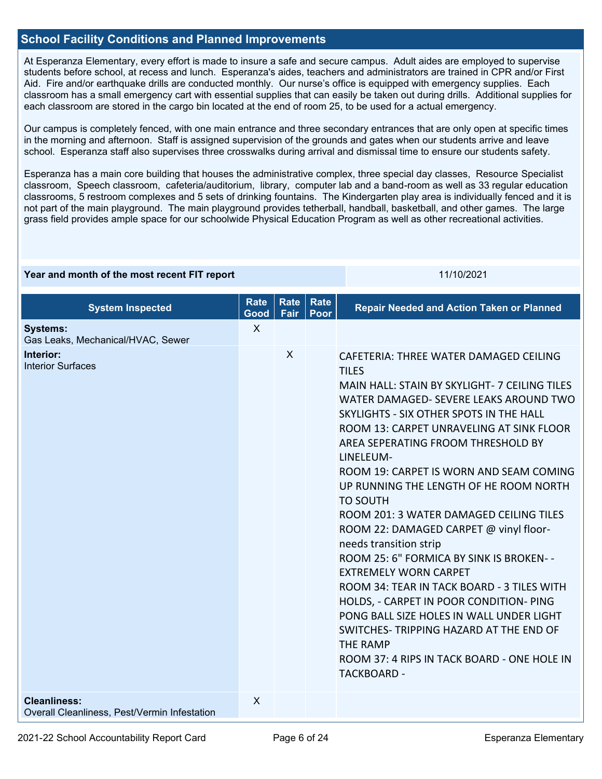# **School Facility Conditions and Planned Improvements**

At Esperanza Elementary, every effort is made to insure a safe and secure campus. Adult aides are employed to supervise students before school, at recess and lunch. Esperanza's aides, teachers and administrators are trained in CPR and/or First Aid. Fire and/or earthquake drills are conducted monthly. Our nurse's office is equipped with emergency supplies. Each classroom has a small emergency cart with essential supplies that can easily be taken out during drills. Additional supplies for each classroom are stored in the cargo bin located at the end of room 25, to be used for a actual emergency.

Our campus is completely fenced, with one main entrance and three secondary entrances that are only open at specific times in the morning and afternoon. Staff is assigned supervision of the grounds and gates when our students arrive and leave school. Esperanza staff also supervises three crosswalks during arrival and dismissal time to ensure our students safety.

Esperanza has a main core building that houses the administrative complex, three special day classes, Resource Specialist classroom, Speech classroom, cafeteria/auditorium, library, computer lab and a band-room as well as 33 regular education classrooms, 5 restroom complexes and 5 sets of drinking fountains. The Kindergarten play area is individually fenced and it is not part of the main playground. The main playground provides tetherball, handball, basketball, and other games. The large grass field provides ample space for our schoolwide Physical Education Program as well as other recreational activities.

#### **Year and month of the most recent FIT report** 11/10/2021 11/10/2021

| <b>System Inspected</b>                                             | <b>Rate</b><br>Good | <b>Rate</b><br><b>Fair</b> | Rate<br><b>Poor</b> | <b>Repair Needed and Action Taken or Planned</b>                                                                                                                                                                                                                                                                                                                                                                                                                                                                                                                                                                                                                                                                                                                                                                                                                     |
|---------------------------------------------------------------------|---------------------|----------------------------|---------------------|----------------------------------------------------------------------------------------------------------------------------------------------------------------------------------------------------------------------------------------------------------------------------------------------------------------------------------------------------------------------------------------------------------------------------------------------------------------------------------------------------------------------------------------------------------------------------------------------------------------------------------------------------------------------------------------------------------------------------------------------------------------------------------------------------------------------------------------------------------------------|
| <b>Systems:</b><br>Gas Leaks, Mechanical/HVAC, Sewer                | $\sf X$             |                            |                     |                                                                                                                                                                                                                                                                                                                                                                                                                                                                                                                                                                                                                                                                                                                                                                                                                                                                      |
| Interior:<br><b>Interior Surfaces</b>                               |                     | X                          |                     | CAFETERIA: THREE WATER DAMAGED CEILING<br><b>TILES</b><br>MAIN HALL: STAIN BY SKYLIGHT- 7 CEILING TILES<br>WATER DAMAGED- SEVERE LEAKS AROUND TWO<br>SKYLIGHTS - SIX OTHER SPOTS IN THE HALL<br>ROOM 13: CARPET UNRAVELING AT SINK FLOOR<br>AREA SEPERATING FROOM THRESHOLD BY<br>LINELEUM-<br>ROOM 19: CARPET IS WORN AND SEAM COMING<br>UP RUNNING THE LENGTH OF HE ROOM NORTH<br><b>TO SOUTH</b><br>ROOM 201: 3 WATER DAMAGED CEILING TILES<br>ROOM 22: DAMAGED CARPET @ vinyl floor-<br>needs transition strip<br>ROOM 25: 6" FORMICA BY SINK IS BROKEN--<br><b>EXTREMELY WORN CARPET</b><br>ROOM 34: TEAR IN TACK BOARD - 3 TILES WITH<br>HOLDS, - CARPET IN POOR CONDITION- PING<br>PONG BALL SIZE HOLES IN WALL UNDER LIGHT<br>SWITCHES-TRIPPING HAZARD AT THE END OF<br><b>THE RAMP</b><br>ROOM 37: 4 RIPS IN TACK BOARD - ONE HOLE IN<br><b>TACKBOARD -</b> |
| <b>Cleanliness:</b><br>Overall Cleanliness, Pest/Vermin Infestation | $\times$            |                            |                     |                                                                                                                                                                                                                                                                                                                                                                                                                                                                                                                                                                                                                                                                                                                                                                                                                                                                      |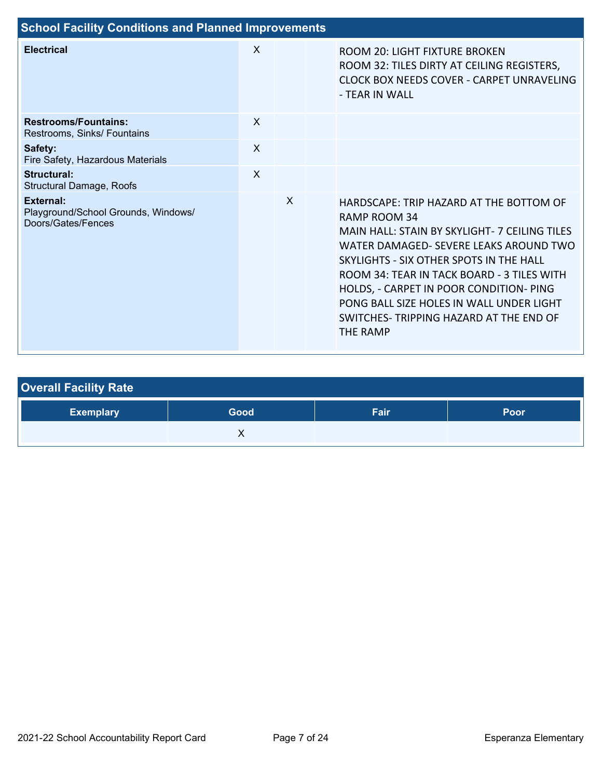| <b>School Facility Conditions and Planned Improvements</b>                    |              |   |  |                                                                                                                                                                                                                                                                                                                                                                                           |  |  |  |
|-------------------------------------------------------------------------------|--------------|---|--|-------------------------------------------------------------------------------------------------------------------------------------------------------------------------------------------------------------------------------------------------------------------------------------------------------------------------------------------------------------------------------------------|--|--|--|
| <b>Electrical</b>                                                             | X            |   |  | ROOM 20: LIGHT FIXTURE BROKEN<br>ROOM 32: TILES DIRTY AT CEILING REGISTERS,<br>CLOCK BOX NEEDS COVER - CARPET UNRAVELING<br>- TEAR IN WALL                                                                                                                                                                                                                                                |  |  |  |
| <b>Restrooms/Fountains:</b><br>Restrooms, Sinks/ Fountains                    | $\mathsf{x}$ |   |  |                                                                                                                                                                                                                                                                                                                                                                                           |  |  |  |
| Safety:<br>Fire Safety, Hazardous Materials                                   | $\mathsf{x}$ |   |  |                                                                                                                                                                                                                                                                                                                                                                                           |  |  |  |
| <b>Structural:</b><br><b>Structural Damage, Roofs</b>                         | $\mathsf{x}$ |   |  |                                                                                                                                                                                                                                                                                                                                                                                           |  |  |  |
| <b>External:</b><br>Playground/School Grounds, Windows/<br>Doors/Gates/Fences |              | X |  | HARDSCAPE: TRIP HAZARD AT THE BOTTOM OF<br>RAMP ROOM 34<br>MAIN HALL: STAIN BY SKYLIGHT- 7 CEILING TILES<br>WATER DAMAGED- SEVERE LEAKS AROUND TWO<br>SKYLIGHTS - SIX OTHER SPOTS IN THE HALL<br>ROOM 34: TEAR IN TACK BOARD - 3 TILES WITH<br>HOLDS, - CARPET IN POOR CONDITION- PING<br>PONG BALL SIZE HOLES IN WALL UNDER LIGHT<br>SWITCHES- TRIPPING HAZARD AT THE END OF<br>THE RAMP |  |  |  |

| <b>Overall Facility Rate</b> |      |      |             |  |  |  |
|------------------------------|------|------|-------------|--|--|--|
| <b>Exemplary</b>             | Good | Fair | <b>Poor</b> |  |  |  |
|                              |      |      |             |  |  |  |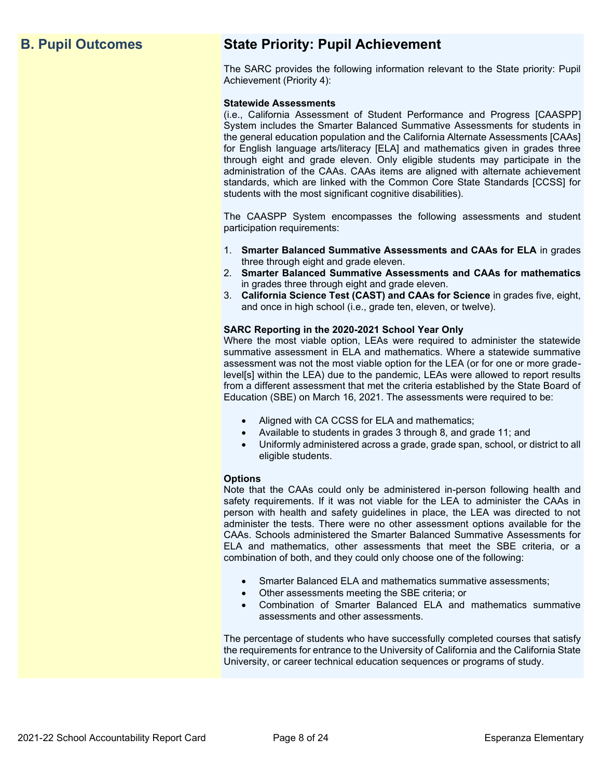# **B. Pupil Outcomes State Priority: Pupil Achievement**

The SARC provides the following information relevant to the State priority: Pupil Achievement (Priority 4):

#### **Statewide Assessments**

(i.e., California Assessment of Student Performance and Progress [CAASPP] System includes the Smarter Balanced Summative Assessments for students in the general education population and the California Alternate Assessments [CAAs] for English language arts/literacy [ELA] and mathematics given in grades three through eight and grade eleven. Only eligible students may participate in the administration of the CAAs. CAAs items are aligned with alternate achievement standards, which are linked with the Common Core State Standards [CCSS] for students with the most significant cognitive disabilities).

The CAASPP System encompasses the following assessments and student participation requirements:

- 1. **Smarter Balanced Summative Assessments and CAAs for ELA** in grades three through eight and grade eleven.
- 2. **Smarter Balanced Summative Assessments and CAAs for mathematics** in grades three through eight and grade eleven.
- 3. **California Science Test (CAST) and CAAs for Science** in grades five, eight, and once in high school (i.e., grade ten, eleven, or twelve).

#### **SARC Reporting in the 2020-2021 School Year Only**

Where the most viable option, LEAs were required to administer the statewide summative assessment in ELA and mathematics. Where a statewide summative assessment was not the most viable option for the LEA (or for one or more gradelevel[s] within the LEA) due to the pandemic, LEAs were allowed to report results from a different assessment that met the criteria established by the State Board of Education (SBE) on March 16, 2021. The assessments were required to be:

- Aligned with CA CCSS for ELA and mathematics;
- Available to students in grades 3 through 8, and grade 11; and
- Uniformly administered across a grade, grade span, school, or district to all eligible students.

#### **Options**

Note that the CAAs could only be administered in-person following health and safety requirements. If it was not viable for the LEA to administer the CAAs in person with health and safety guidelines in place, the LEA was directed to not administer the tests. There were no other assessment options available for the CAAs. Schools administered the Smarter Balanced Summative Assessments for ELA and mathematics, other assessments that meet the SBE criteria, or a combination of both, and they could only choose one of the following:

- Smarter Balanced ELA and mathematics summative assessments;
- Other assessments meeting the SBE criteria; or
- Combination of Smarter Balanced ELA and mathematics summative assessments and other assessments.

The percentage of students who have successfully completed courses that satisfy the requirements for entrance to the University of California and the California State University, or career technical education sequences or programs of study.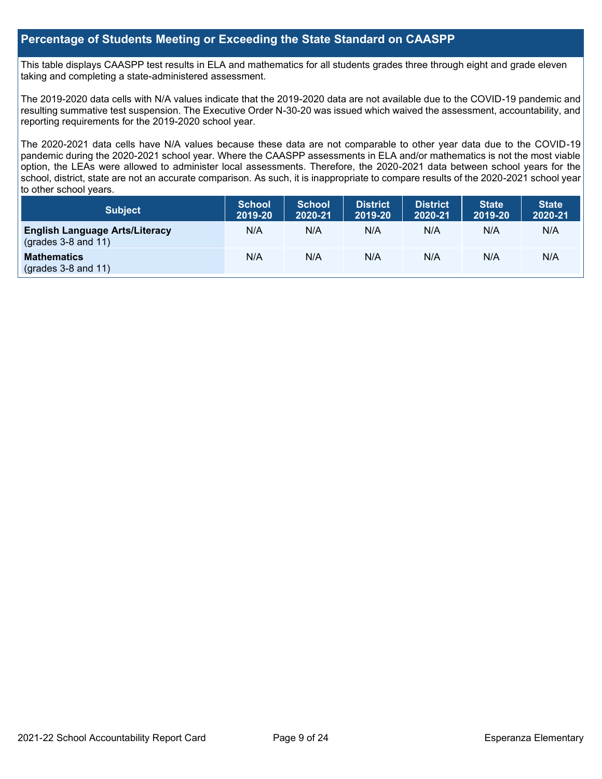# **Percentage of Students Meeting or Exceeding the State Standard on CAASPP**

This table displays CAASPP test results in ELA and mathematics for all students grades three through eight and grade eleven taking and completing a state-administered assessment.

The 2019-2020 data cells with N/A values indicate that the 2019-2020 data are not available due to the COVID-19 pandemic and resulting summative test suspension. The Executive Order N-30-20 was issued which waived the assessment, accountability, and reporting requirements for the 2019-2020 school year.

The 2020-2021 data cells have N/A values because these data are not comparable to other year data due to the COVID-19 pandemic during the 2020-2021 school year. Where the CAASPP assessments in ELA and/or mathematics is not the most viable option, the LEAs were allowed to administer local assessments. Therefore, the 2020-2021 data between school years for the school, district, state are not an accurate comparison. As such, it is inappropriate to compare results of the 2020-2021 school year to other school years.

| Subject                                                        | <b>School</b><br>2019-20 | <b>School</b><br>2020-21 | <b>District</b><br>2019-20 | <b>District</b><br>2020-21 | <b>State</b><br>2019-20 | <b>State</b><br>2020-21 |
|----------------------------------------------------------------|--------------------------|--------------------------|----------------------------|----------------------------|-------------------------|-------------------------|
| <b>English Language Arts/Literacy</b><br>$(grades 3-8 and 11)$ | N/A                      | N/A                      | N/A                        | N/A                        | N/A                     | N/A                     |
| <b>Mathematics</b><br>$(grades 3-8 and 11)$                    | N/A                      | N/A                      | N/A                        | N/A                        | N/A                     | N/A                     |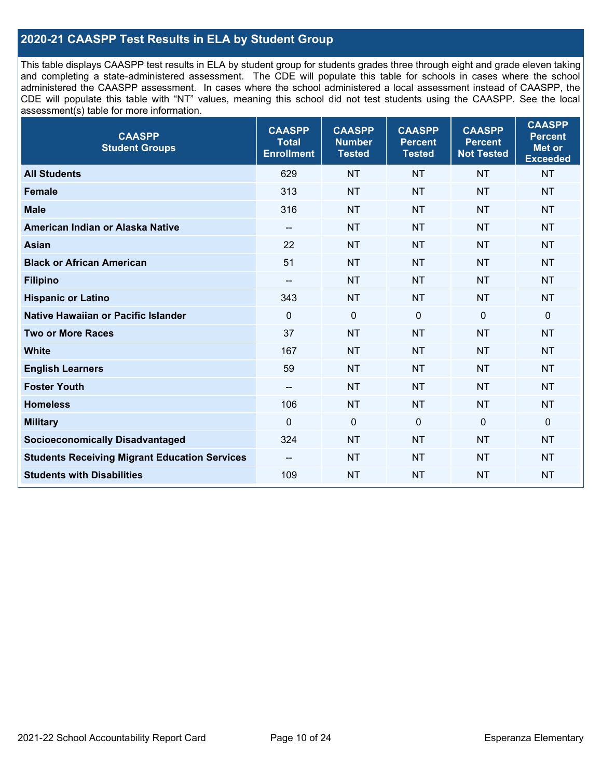# **2020-21 CAASPP Test Results in ELA by Student Group**

This table displays CAASPP test results in ELA by student group for students grades three through eight and grade eleven taking and completing a state-administered assessment. The CDE will populate this table for schools in cases where the school administered the CAASPP assessment. In cases where the school administered a local assessment instead of CAASPP, the CDE will populate this table with "NT" values, meaning this school did not test students using the CAASPP. See the local assessment(s) table for more information.

| <b>CAASPP</b><br><b>Student Groups</b>               | <b>CAASPP</b><br><b>Total</b><br><b>Enrollment</b> | <b>CAASPP</b><br><b>Number</b><br><b>Tested</b> | <b>CAASPP</b><br><b>Percent</b><br><b>Tested</b> | <b>CAASPP</b><br><b>Percent</b><br><b>Not Tested</b> | <b>CAASPP</b><br><b>Percent</b><br>Met or<br><b>Exceeded</b> |
|------------------------------------------------------|----------------------------------------------------|-------------------------------------------------|--------------------------------------------------|------------------------------------------------------|--------------------------------------------------------------|
| <b>All Students</b>                                  | 629                                                | <b>NT</b>                                       | <b>NT</b>                                        | <b>NT</b>                                            | <b>NT</b>                                                    |
| <b>Female</b>                                        | 313                                                | <b>NT</b>                                       | <b>NT</b>                                        | <b>NT</b>                                            | <b>NT</b>                                                    |
| <b>Male</b>                                          | 316                                                | <b>NT</b>                                       | <b>NT</b>                                        | <b>NT</b>                                            | <b>NT</b>                                                    |
| American Indian or Alaska Native                     | $\overline{\phantom{a}}$                           | <b>NT</b>                                       | <b>NT</b>                                        | <b>NT</b>                                            | <b>NT</b>                                                    |
| <b>Asian</b>                                         | 22                                                 | <b>NT</b>                                       | <b>NT</b>                                        | <b>NT</b>                                            | <b>NT</b>                                                    |
| <b>Black or African American</b>                     | 51                                                 | <b>NT</b>                                       | <b>NT</b>                                        | <b>NT</b>                                            | <b>NT</b>                                                    |
| <b>Filipino</b>                                      | $\overline{\phantom{a}}$                           | <b>NT</b>                                       | <b>NT</b>                                        | <b>NT</b>                                            | <b>NT</b>                                                    |
| <b>Hispanic or Latino</b>                            | 343                                                | <b>NT</b>                                       | <b>NT</b>                                        | <b>NT</b>                                            | <b>NT</b>                                                    |
| Native Hawaiian or Pacific Islander                  | $\mathbf 0$                                        | $\mathbf 0$                                     | $\mathbf{0}$                                     | $\overline{0}$                                       | 0                                                            |
| <b>Two or More Races</b>                             | 37                                                 | <b>NT</b>                                       | <b>NT</b>                                        | <b>NT</b>                                            | <b>NT</b>                                                    |
| <b>White</b>                                         | 167                                                | <b>NT</b>                                       | <b>NT</b>                                        | <b>NT</b>                                            | <b>NT</b>                                                    |
| <b>English Learners</b>                              | 59                                                 | <b>NT</b>                                       | <b>NT</b>                                        | <b>NT</b>                                            | <b>NT</b>                                                    |
| <b>Foster Youth</b>                                  | $\overline{\phantom{a}}$                           | <b>NT</b>                                       | <b>NT</b>                                        | <b>NT</b>                                            | <b>NT</b>                                                    |
| <b>Homeless</b>                                      | 106                                                | <b>NT</b>                                       | <b>NT</b>                                        | <b>NT</b>                                            | <b>NT</b>                                                    |
| <b>Military</b>                                      | $\Omega$                                           | $\mathbf 0$                                     | $\mathbf{0}$                                     | $\mathbf 0$                                          | 0                                                            |
| <b>Socioeconomically Disadvantaged</b>               | 324                                                | <b>NT</b>                                       | <b>NT</b>                                        | <b>NT</b>                                            | <b>NT</b>                                                    |
| <b>Students Receiving Migrant Education Services</b> | $-$                                                | <b>NT</b>                                       | <b>NT</b>                                        | <b>NT</b>                                            | <b>NT</b>                                                    |
| <b>Students with Disabilities</b>                    | 109                                                | <b>NT</b>                                       | <b>NT</b>                                        | <b>NT</b>                                            | <b>NT</b>                                                    |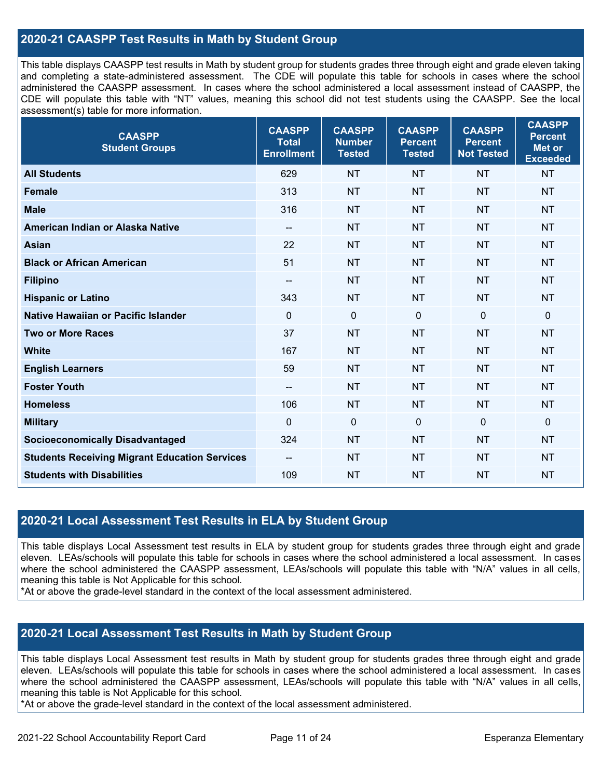# **2020-21 CAASPP Test Results in Math by Student Group**

This table displays CAASPP test results in Math by student group for students grades three through eight and grade eleven taking and completing a state-administered assessment. The CDE will populate this table for schools in cases where the school administered the CAASPP assessment. In cases where the school administered a local assessment instead of CAASPP, the CDE will populate this table with "NT" values, meaning this school did not test students using the CAASPP. See the local assessment(s) table for more information.

| <b>CAASPP</b><br><b>Student Groups</b>               | <b>CAASPP</b><br><b>Total</b><br><b>Enrollment</b> | <b>CAASPP</b><br><b>Number</b><br><b>Tested</b> | <b>CAASPP</b><br><b>Percent</b><br><b>Tested</b> | <b>CAASPP</b><br><b>Percent</b><br><b>Not Tested</b> | <b>CAASPP</b><br><b>Percent</b><br><b>Met or</b><br><b>Exceeded</b> |
|------------------------------------------------------|----------------------------------------------------|-------------------------------------------------|--------------------------------------------------|------------------------------------------------------|---------------------------------------------------------------------|
| <b>All Students</b>                                  | 629                                                | <b>NT</b>                                       | <b>NT</b>                                        | <b>NT</b>                                            | <b>NT</b>                                                           |
| <b>Female</b>                                        | 313                                                | <b>NT</b>                                       | <b>NT</b>                                        | <b>NT</b>                                            | <b>NT</b>                                                           |
| <b>Male</b>                                          | 316                                                | <b>NT</b>                                       | <b>NT</b>                                        | <b>NT</b>                                            | <b>NT</b>                                                           |
| American Indian or Alaska Native                     | $\overline{\phantom{a}}$                           | <b>NT</b>                                       | <b>NT</b>                                        | <b>NT</b>                                            | <b>NT</b>                                                           |
| <b>Asian</b>                                         | 22                                                 | <b>NT</b>                                       | <b>NT</b>                                        | <b>NT</b>                                            | <b>NT</b>                                                           |
| <b>Black or African American</b>                     | 51                                                 | <b>NT</b>                                       | <b>NT</b>                                        | <b>NT</b>                                            | <b>NT</b>                                                           |
| <b>Filipino</b>                                      | $\overline{\phantom{a}}$                           | <b>NT</b>                                       | <b>NT</b>                                        | <b>NT</b>                                            | <b>NT</b>                                                           |
| <b>Hispanic or Latino</b>                            | 343                                                | <b>NT</b>                                       | <b>NT</b>                                        | <b>NT</b>                                            | <b>NT</b>                                                           |
| Native Hawaiian or Pacific Islander                  | $\mathbf 0$                                        | $\mathbf 0$                                     | $\mathbf 0$                                      | $\mathbf 0$                                          | $\mathbf 0$                                                         |
| <b>Two or More Races</b>                             | 37                                                 | <b>NT</b>                                       | <b>NT</b>                                        | <b>NT</b>                                            | <b>NT</b>                                                           |
| <b>White</b>                                         | 167                                                | <b>NT</b>                                       | <b>NT</b>                                        | <b>NT</b>                                            | <b>NT</b>                                                           |
| <b>English Learners</b>                              | 59                                                 | <b>NT</b>                                       | <b>NT</b>                                        | <b>NT</b>                                            | <b>NT</b>                                                           |
| <b>Foster Youth</b>                                  | $\overline{\phantom{a}}$                           | <b>NT</b>                                       | <b>NT</b>                                        | <b>NT</b>                                            | <b>NT</b>                                                           |
| <b>Homeless</b>                                      | 106                                                | <b>NT</b>                                       | <b>NT</b>                                        | <b>NT</b>                                            | <b>NT</b>                                                           |
| <b>Military</b>                                      | $\mathbf 0$                                        | $\pmb{0}$                                       | $\mathbf 0$                                      | $\mathbf 0$                                          | $\mathbf 0$                                                         |
| <b>Socioeconomically Disadvantaged</b>               | 324                                                | <b>NT</b>                                       | <b>NT</b>                                        | <b>NT</b>                                            | <b>NT</b>                                                           |
| <b>Students Receiving Migrant Education Services</b> | --                                                 | <b>NT</b>                                       | <b>NT</b>                                        | <b>NT</b>                                            | <b>NT</b>                                                           |
| <b>Students with Disabilities</b>                    | 109                                                | <b>NT</b>                                       | <b>NT</b>                                        | <b>NT</b>                                            | <b>NT</b>                                                           |

### **2020-21 Local Assessment Test Results in ELA by Student Group**

This table displays Local Assessment test results in ELA by student group for students grades three through eight and grade eleven. LEAs/schools will populate this table for schools in cases where the school administered a local assessment. In cases where the school administered the CAASPP assessment, LEAs/schools will populate this table with "N/A" values in all cells, meaning this table is Not Applicable for this school.

\*At or above the grade-level standard in the context of the local assessment administered.

# **2020-21 Local Assessment Test Results in Math by Student Group**

This table displays Local Assessment test results in Math by student group for students grades three through eight and grade eleven. LEAs/schools will populate this table for schools in cases where the school administered a local assessment. In cases where the school administered the CAASPP assessment, LEAs/schools will populate this table with "N/A" values in all cells, meaning this table is Not Applicable for this school.

\*At or above the grade-level standard in the context of the local assessment administered.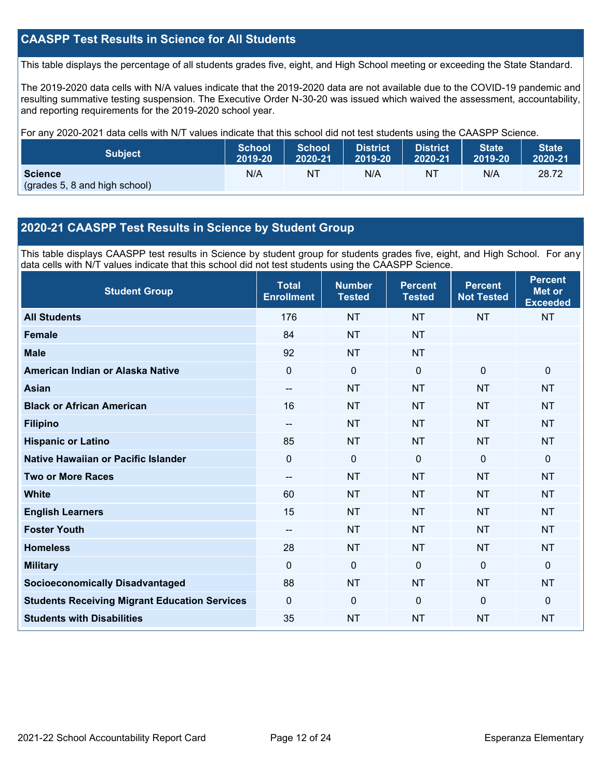# **CAASPP Test Results in Science for All Students**

This table displays the percentage of all students grades five, eight, and High School meeting or exceeding the State Standard.

The 2019-2020 data cells with N/A values indicate that the 2019-2020 data are not available due to the COVID-19 pandemic and resulting summative testing suspension. The Executive Order N-30-20 was issued which waived the assessment, accountability, and reporting requirements for the 2019-2020 school year.

For any 2020-2021 data cells with N/T values indicate that this school did not test students using the CAASPP Science.

| <b>Subject</b>                                  | <b>School</b> | <b>School</b> | <b>District</b> | District. | <b>State</b> | <b>State</b> |
|-------------------------------------------------|---------------|---------------|-----------------|-----------|--------------|--------------|
|                                                 | 2019-20       | 2020-21       | 2019-20         | 2020-21   | 2019-20      | 2020-21      |
| <b>Science</b><br>(grades 5, 8 and high school) | N/A           | NT            | N/A             | NT        | N/A          | 28.72        |

# **2020-21 CAASPP Test Results in Science by Student Group**

This table displays CAASPP test results in Science by student group for students grades five, eight, and High School. For any data cells with N/T values indicate that this school did not test students using the CAASPP Science.

| <b>Student Group</b>                                 | <b>Total</b><br><b>Enrollment</b> | <b>Number</b><br><b>Tested</b> | <b>Percent</b><br><b>Tested</b> | <b>Percent</b><br><b>Not Tested</b> | <b>Percent</b><br><b>Met or</b><br><b>Exceeded</b> |
|------------------------------------------------------|-----------------------------------|--------------------------------|---------------------------------|-------------------------------------|----------------------------------------------------|
| <b>All Students</b>                                  | 176                               | <b>NT</b>                      | <b>NT</b>                       | <b>NT</b>                           | <b>NT</b>                                          |
| <b>Female</b>                                        | 84                                | <b>NT</b>                      | <b>NT</b>                       |                                     |                                                    |
| <b>Male</b>                                          | 92                                | <b>NT</b>                      | <b>NT</b>                       |                                     |                                                    |
| American Indian or Alaska Native                     | $\Omega$                          | $\mathbf 0$                    | $\mathbf{0}$                    | $\mathbf 0$                         | $\mathbf 0$                                        |
| <b>Asian</b>                                         | --                                | <b>NT</b>                      | <b>NT</b>                       | <b>NT</b>                           | <b>NT</b>                                          |
| <b>Black or African American</b>                     | 16                                | <b>NT</b>                      | <b>NT</b>                       | <b>NT</b>                           | <b>NT</b>                                          |
| <b>Filipino</b>                                      | --                                | <b>NT</b>                      | <b>NT</b>                       | <b>NT</b>                           | <b>NT</b>                                          |
| <b>Hispanic or Latino</b>                            | 85                                | <b>NT</b>                      | <b>NT</b>                       | <b>NT</b>                           | <b>NT</b>                                          |
| Native Hawaiian or Pacific Islander                  | $\overline{0}$                    | $\mathbf 0$                    | $\mathbf 0$                     | $\overline{0}$                      | $\mathbf 0$                                        |
| <b>Two or More Races</b>                             | --                                | <b>NT</b>                      | <b>NT</b>                       | <b>NT</b>                           | <b>NT</b>                                          |
| <b>White</b>                                         | 60                                | <b>NT</b>                      | <b>NT</b>                       | <b>NT</b>                           | <b>NT</b>                                          |
| <b>English Learners</b>                              | 15                                | <b>NT</b>                      | <b>NT</b>                       | <b>NT</b>                           | <b>NT</b>                                          |
| <b>Foster Youth</b>                                  | --                                | <b>NT</b>                      | <b>NT</b>                       | <b>NT</b>                           | <b>NT</b>                                          |
| <b>Homeless</b>                                      | 28                                | <b>NT</b>                      | <b>NT</b>                       | <b>NT</b>                           | <b>NT</b>                                          |
| <b>Military</b>                                      | $\Omega$                          | 0                              | $\mathbf{0}$                    | $\mathbf{0}$                        | $\mathbf{0}$                                       |
| <b>Socioeconomically Disadvantaged</b>               | 88                                | <b>NT</b>                      | <b>NT</b>                       | <b>NT</b>                           | <b>NT</b>                                          |
| <b>Students Receiving Migrant Education Services</b> | $\Omega$                          | 0                              | $\mathbf{0}$                    | $\Omega$                            | $\mathbf{0}$                                       |
| <b>Students with Disabilities</b>                    | 35                                | <b>NT</b>                      | <b>NT</b>                       | <b>NT</b>                           | <b>NT</b>                                          |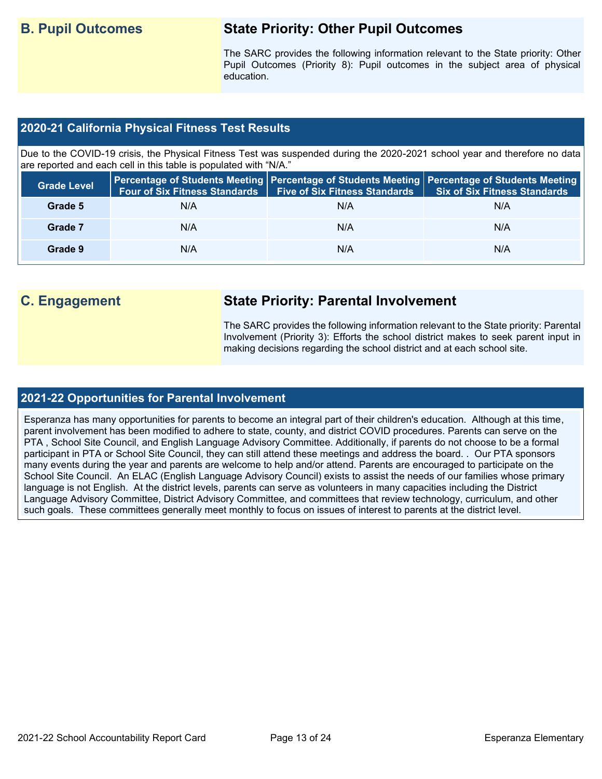# **B. Pupil Outcomes State Priority: Other Pupil Outcomes**

The SARC provides the following information relevant to the State priority: Other Pupil Outcomes (Priority 8): Pupil outcomes in the subject area of physical education.

# **2020-21 California Physical Fitness Test Results**

Due to the COVID-19 crisis, the Physical Fitness Test was suspended during the 2020-2021 school year and therefore no data are reported and each cell in this table is populated with "N/A."

| <b>Grade Level</b> | <b>Four of Six Fitness Standards</b> | <b>Five of Six Fitness Standards</b> | Percentage of Students Meeting   Percentage of Students Meeting   Percentage of Students Meeting  <br><b>Six of Six Fitness Standards</b> |
|--------------------|--------------------------------------|--------------------------------------|-------------------------------------------------------------------------------------------------------------------------------------------|
| Grade 5            | N/A                                  | N/A                                  | N/A                                                                                                                                       |
| Grade 7            | N/A                                  | N/A                                  | N/A                                                                                                                                       |
| Grade 9            | N/A                                  | N/A                                  | N/A                                                                                                                                       |

# **C. Engagement State Priority: Parental Involvement**

The SARC provides the following information relevant to the State priority: Parental Involvement (Priority 3): Efforts the school district makes to seek parent input in making decisions regarding the school district and at each school site.

### **2021-22 Opportunities for Parental Involvement**

Esperanza has many opportunities for parents to become an integral part of their children's education. Although at this time, parent involvement has been modified to adhere to state, county, and district COVID procedures. Parents can serve on the PTA , School Site Council, and English Language Advisory Committee. Additionally, if parents do not choose to be a formal participant in PTA or School Site Council, they can still attend these meetings and address the board. . Our PTA sponsors many events during the year and parents are welcome to help and/or attend. Parents are encouraged to participate on the School Site Council. An ELAC (English Language Advisory Council) exists to assist the needs of our families whose primary language is not English. At the district levels, parents can serve as volunteers in many capacities including the District Language Advisory Committee, District Advisory Committee, and committees that review technology, curriculum, and other such goals. These committees generally meet monthly to focus on issues of interest to parents at the district level.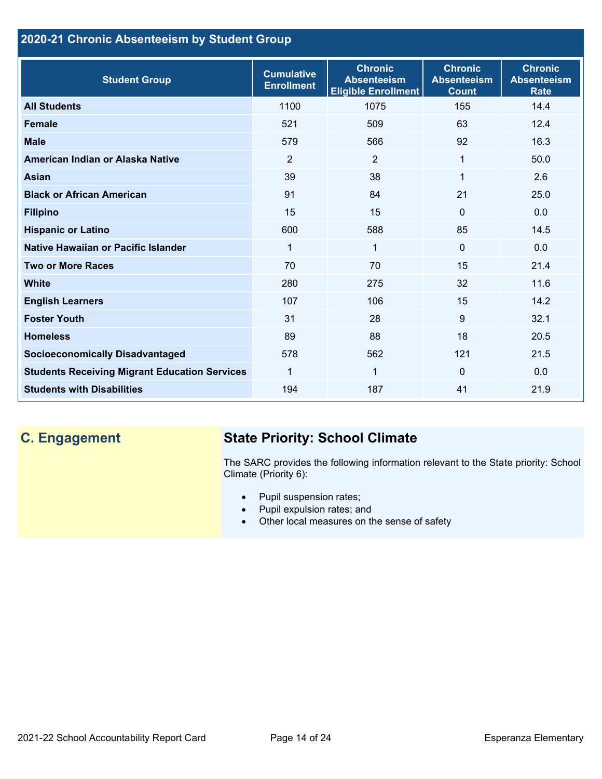# **2020-21 Chronic Absenteeism by Student Group**

| <b>Student Group</b>                                 | <b>Cumulative</b><br><b>Enrollment</b> | <b>Chronic</b><br><b>Absenteeism</b><br><b>Eligible Enrollment</b> | <b>Chronic</b><br><b>Absenteeism</b><br><b>Count</b> | <b>Chronic</b><br><b>Absenteeism</b><br><b>Rate</b> |
|------------------------------------------------------|----------------------------------------|--------------------------------------------------------------------|------------------------------------------------------|-----------------------------------------------------|
| <b>All Students</b>                                  | 1100                                   | 1075                                                               | 155                                                  | 14.4                                                |
| <b>Female</b>                                        | 521                                    | 509                                                                | 63                                                   | 12.4                                                |
| <b>Male</b>                                          | 579                                    | 566                                                                | 92                                                   | 16.3                                                |
| American Indian or Alaska Native                     | 2                                      | 2                                                                  | 1                                                    | 50.0                                                |
| <b>Asian</b>                                         | 39                                     | 38                                                                 | 1                                                    | 2.6                                                 |
| <b>Black or African American</b>                     | 91                                     | 84                                                                 | 21                                                   | 25.0                                                |
| <b>Filipino</b>                                      | 15                                     | 15                                                                 | $\mathbf{0}$                                         | 0.0                                                 |
| <b>Hispanic or Latino</b>                            | 600                                    | 588                                                                | 85                                                   | 14.5                                                |
| Native Hawaiian or Pacific Islander                  | 1                                      | 1                                                                  | $\mathbf 0$                                          | 0.0                                                 |
| <b>Two or More Races</b>                             | 70                                     | 70                                                                 | 15                                                   | 21.4                                                |
| <b>White</b>                                         | 280                                    | 275                                                                | 32                                                   | 11.6                                                |
| <b>English Learners</b>                              | 107                                    | 106                                                                | 15                                                   | 14.2                                                |
| <b>Foster Youth</b>                                  | 31                                     | 28                                                                 | 9                                                    | 32.1                                                |
| <b>Homeless</b>                                      | 89                                     | 88                                                                 | 18                                                   | 20.5                                                |
| <b>Socioeconomically Disadvantaged</b>               | 578                                    | 562                                                                | 121                                                  | 21.5                                                |
| <b>Students Receiving Migrant Education Services</b> | 1                                      | $\mathbf 1$                                                        | $\Omega$                                             | 0.0                                                 |
| <b>Students with Disabilities</b>                    | 194                                    | 187                                                                | 41                                                   | 21.9                                                |

# **C. Engagement State Priority: School Climate**

The SARC provides the following information relevant to the State priority: School Climate (Priority 6):

- Pupil suspension rates;
- Pupil expulsion rates; and
- Other local measures on the sense of safety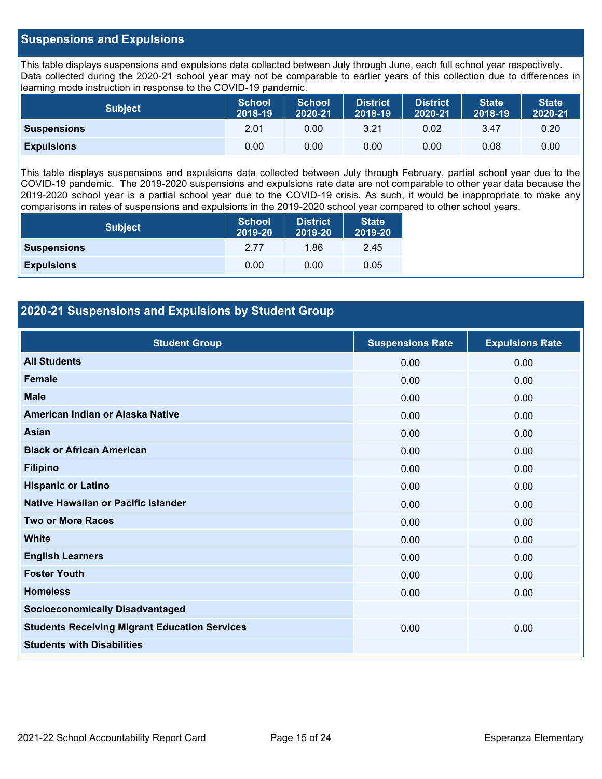# **Suspensions and Expulsions**

This table displays suspensions and expulsions data collected between July through June, each full school year respectively. Data collected during the 2020-21 school year may not be comparable to earlier years of this collection due to differences in learning mode instruction in response to the COVID-19 pandemic.

| <b>Subject</b>     | <b>School</b><br>2018-19 | <b>School</b><br>2020-21 | <b>District</b><br>2018-19 | <b>District</b><br>2020-21 | <b>State</b><br>2018-19 | <b>State</b><br>2020-21 |
|--------------------|--------------------------|--------------------------|----------------------------|----------------------------|-------------------------|-------------------------|
| <b>Suspensions</b> | 2.01                     | 0.00                     | 3.21                       | 0.02                       | 3.47                    | 0.20                    |
| <b>Expulsions</b>  | 0.00                     | 0.00                     | 0.00                       | 0.00                       | 0.08                    | 0.00                    |

This table displays suspensions and expulsions data collected between July through February, partial school year due to the COVID-19 pandemic. The 2019-2020 suspensions and expulsions rate data are not comparable to other year data because the 2019-2020 school year is a partial school year due to the COVID-19 crisis. As such, it would be inappropriate to make any comparisons in rates of suspensions and expulsions in the 2019-2020 school year compared to other school years.

| <b>Subject</b>     | <b>School</b><br>2019-20 | <b>District</b><br>2019-20 | <b>State</b><br>2019-20 |
|--------------------|--------------------------|----------------------------|-------------------------|
| <b>Suspensions</b> | 2 77                     | 1.86                       | 2.45                    |
| <b>Expulsions</b>  | 0.00                     | 0.00                       | 0.05                    |

# **2020-21 Suspensions and Expulsions by Student Group**

| <b>Student Group</b>                                 | <b>Suspensions Rate</b> | <b>Expulsions Rate</b> |
|------------------------------------------------------|-------------------------|------------------------|
| <b>All Students</b>                                  | 0.00                    | 0.00                   |
| Female                                               | 0.00                    | 0.00                   |
| <b>Male</b>                                          | 0.00                    | 0.00                   |
| American Indian or Alaska Native                     | 0.00                    | 0.00                   |
| Asian                                                | 0.00                    | 0.00                   |
| <b>Black or African American</b>                     | 0.00                    | 0.00                   |
| <b>Filipino</b>                                      | 0.00                    | 0.00                   |
| <b>Hispanic or Latino</b>                            | 0.00                    | 0.00                   |
| Native Hawaiian or Pacific Islander                  | 0.00                    | 0.00                   |
| <b>Two or More Races</b>                             | 0.00                    | 0.00                   |
| <b>White</b>                                         | 0.00                    | 0.00                   |
| <b>English Learners</b>                              | 0.00                    | 0.00                   |
| <b>Foster Youth</b>                                  | 0.00                    | 0.00                   |
| <b>Homeless</b>                                      | 0.00                    | 0.00                   |
| <b>Socioeconomically Disadvantaged</b>               |                         |                        |
| <b>Students Receiving Migrant Education Services</b> | 0.00                    | 0.00                   |
| <b>Students with Disabilities</b>                    |                         |                        |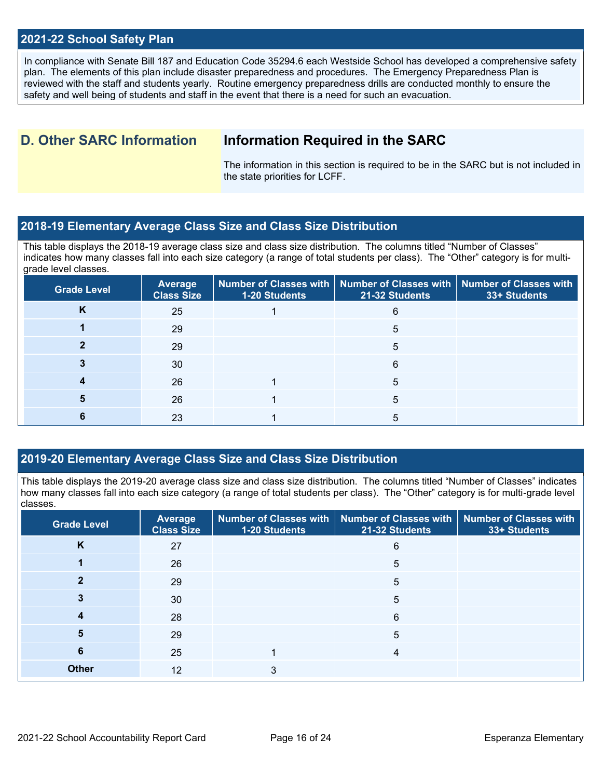### **2021-22 School Safety Plan**

In compliance with Senate Bill 187 and Education Code 35294.6 each Westside School has developed a comprehensive safety plan. The elements of this plan include disaster preparedness and procedures. The Emergency Preparedness Plan is reviewed with the staff and students yearly. Routine emergency preparedness drills are conducted monthly to ensure the safety and well being of students and staff in the event that there is a need for such an evacuation.

# **D. Other SARC Information Information Required in the SARC**

The information in this section is required to be in the SARC but is not included in the state priorities for LCFF.

# **2018-19 Elementary Average Class Size and Class Size Distribution**

This table displays the 2018-19 average class size and class size distribution. The columns titled "Number of Classes" indicates how many classes fall into each size category (a range of total students per class). The "Other" category is for multigrade level classes.

| <b>Grade Level</b> | Average<br><b>Class Size</b> | 1-20 Students | Number of Classes with   Number of Classes with   Number of Classes with<br>21-32 Students | 33+ Students |
|--------------------|------------------------------|---------------|--------------------------------------------------------------------------------------------|--------------|
| <b>n</b>           | 25                           |               | 6                                                                                          |              |
|                    | 29                           |               | 5                                                                                          |              |
|                    | 29                           |               | 5                                                                                          |              |
|                    | 30                           |               | 6                                                                                          |              |
|                    | 26                           |               | 5                                                                                          |              |
|                    | 26                           |               | 5                                                                                          |              |
|                    | 23                           |               | 5                                                                                          |              |

# **2019-20 Elementary Average Class Size and Class Size Distribution**

This table displays the 2019-20 average class size and class size distribution. The columns titled "Number of Classes" indicates how many classes fall into each size category (a range of total students per class). The "Other" category is for multi-grade level classes.

| <b>Grade Level</b> | Average<br><b>Class Size</b> | 1-20 Students | Number of Classes with   Number of Classes with   Number of Classes with<br>21-32 Students | 33+ Students |
|--------------------|------------------------------|---------------|--------------------------------------------------------------------------------------------|--------------|
| K                  | 27                           |               | 6                                                                                          |              |
|                    | 26                           |               | 5                                                                                          |              |
|                    | 29                           |               | 5                                                                                          |              |
|                    | 30                           |               | 5                                                                                          |              |
| 4                  | 28                           |               | 6                                                                                          |              |
| 5                  | 29                           |               | 5                                                                                          |              |
| 6                  | 25                           |               |                                                                                            |              |
| <b>Other</b>       | 12                           | 3             |                                                                                            |              |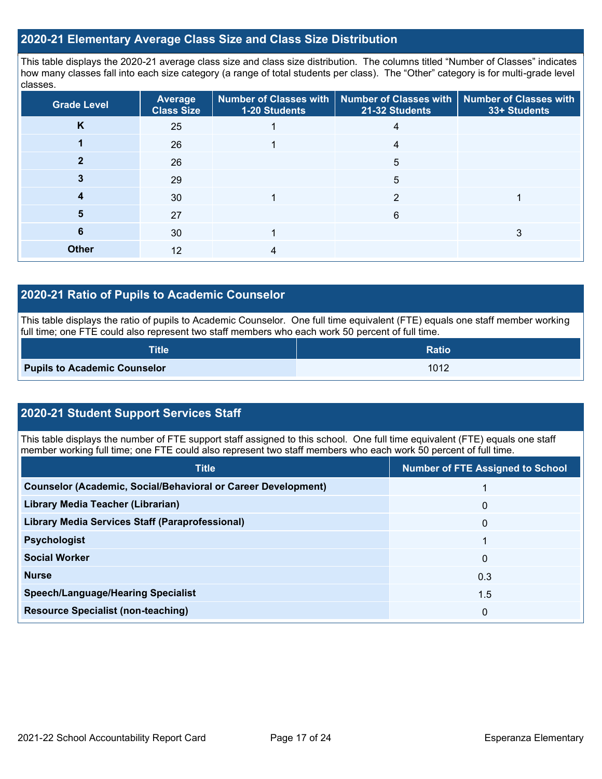# **2020-21 Elementary Average Class Size and Class Size Distribution**

This table displays the 2020-21 average class size and class size distribution. The columns titled "Number of Classes" indicates how many classes fall into each size category (a range of total students per class). The "Other" category is for multi-grade level classes.

| <b>Grade Level</b> | Average<br><b>Class Size</b> | 1-20 Students | Number of Classes with   Number of Classes with<br>21-32 Students | <b>Number of Classes with</b><br>33+ Students |
|--------------------|------------------------------|---------------|-------------------------------------------------------------------|-----------------------------------------------|
| K                  | 25                           |               | 4                                                                 |                                               |
|                    | 26                           |               | 4                                                                 |                                               |
|                    | 26                           |               | 5                                                                 |                                               |
|                    | 29                           |               | 5                                                                 |                                               |
|                    | 30                           |               | 2                                                                 |                                               |
| 5                  | 27                           |               | 6                                                                 |                                               |
| 6                  | 30                           |               |                                                                   | 3                                             |
| <b>Other</b>       | 12                           |               |                                                                   |                                               |

# **2020-21 Ratio of Pupils to Academic Counselor**

This table displays the ratio of pupils to Academic Counselor. One full time equivalent (FTE) equals one staff member working full time; one FTE could also represent two staff members who each work 50 percent of full time.

| <b>Title</b>                        | <b>Ratio</b> |
|-------------------------------------|--------------|
| <b>Pupils to Academic Counselor</b> | 1012         |

# **2020-21 Student Support Services Staff**

This table displays the number of FTE support staff assigned to this school. One full time equivalent (FTE) equals one staff member working full time; one FTE could also represent two staff members who each work 50 percent of full time.

| <b>Title</b>                                                         | <b>Number of FTE Assigned to School</b> |
|----------------------------------------------------------------------|-----------------------------------------|
| <b>Counselor (Academic, Social/Behavioral or Career Development)</b> |                                         |
| Library Media Teacher (Librarian)                                    | 0                                       |
| <b>Library Media Services Staff (Paraprofessional)</b>               | 0                                       |
| <b>Psychologist</b>                                                  |                                         |
| <b>Social Worker</b>                                                 | 0                                       |
| <b>Nurse</b>                                                         | 0.3                                     |
| <b>Speech/Language/Hearing Specialist</b>                            | 1.5                                     |
| <b>Resource Specialist (non-teaching)</b>                            | 0                                       |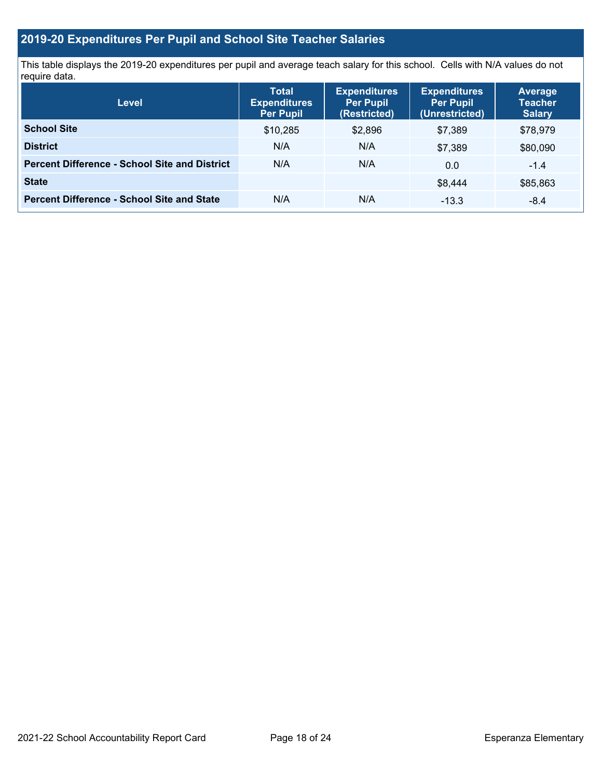# **2019-20 Expenditures Per Pupil and School Site Teacher Salaries**

This table displays the 2019-20 expenditures per pupil and average teach salary for this school. Cells with N/A values do not require data.

| <b>Level</b>                                         | <b>Total</b><br><b>Expenditures</b><br><b>Per Pupil</b> | <b>Expenditures</b><br><b>Per Pupil</b><br>(Restricted) | <b>Expenditures</b><br><b>Per Pupil</b><br>(Unrestricted) | <b>Average</b><br><b>Teacher</b><br><b>Salary</b> |
|------------------------------------------------------|---------------------------------------------------------|---------------------------------------------------------|-----------------------------------------------------------|---------------------------------------------------|
| <b>School Site</b>                                   | \$10,285                                                | \$2,896                                                 | \$7,389                                                   | \$78,979                                          |
| <b>District</b>                                      | N/A                                                     | N/A                                                     | \$7,389                                                   | \$80,090                                          |
| <b>Percent Difference - School Site and District</b> | N/A                                                     | N/A                                                     | 0.0                                                       | $-1.4$                                            |
| <b>State</b>                                         |                                                         |                                                         | \$8.444                                                   | \$85,863                                          |
| <b>Percent Difference - School Site and State</b>    | N/A                                                     | N/A                                                     | $-13.3$                                                   | $-8.4$                                            |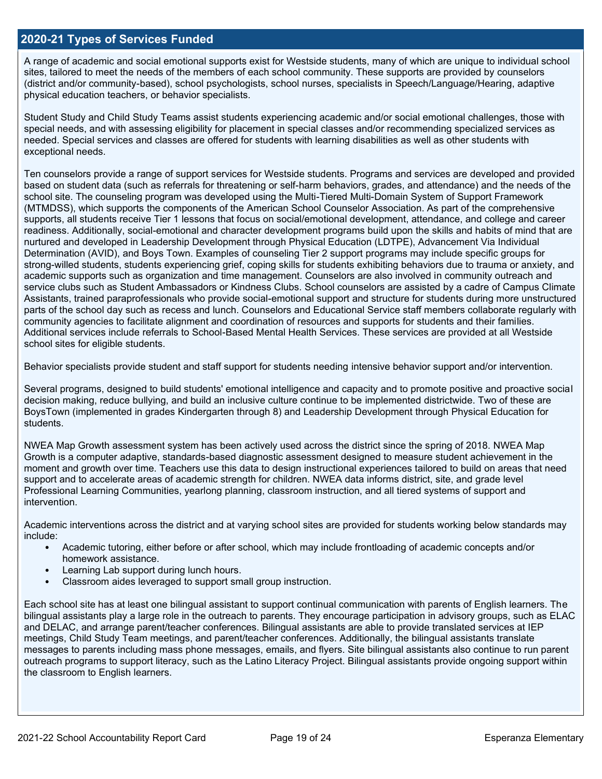### **2020-21 Types of Services Funded**

A range of academic and social emotional supports exist for Westside students, many of which are unique to individual school sites, tailored to meet the needs of the members of each school community. These supports are provided by counselors (district and/or community-based), school psychologists, school nurses, specialists in Speech/Language/Hearing, adaptive physical education teachers, or behavior specialists.

Student Study and Child Study Teams assist students experiencing academic and/or social emotional challenges, those with special needs, and with assessing eligibility for placement in special classes and/or recommending specialized services as needed. Special services and classes are offered for students with learning disabilities as well as other students with exceptional needs.

Ten counselors provide a range of support services for Westside students. Programs and services are developed and provided based on student data (such as referrals for threatening or self-harm behaviors, grades, and attendance) and the needs of the school site. The counseling program was developed using the Multi-Tiered Multi-Domain System of Support Framework (MTMDSS), which supports the components of the American School Counselor Association. As part of the comprehensive supports, all students receive Tier 1 lessons that focus on social/emotional development, attendance, and college and career readiness. Additionally, social-emotional and character development programs build upon the skills and habits of mind that are nurtured and developed in Leadership Development through Physical Education (LDTPE), Advancement Via Individual Determination (AVID), and Boys Town. Examples of counseling Tier 2 support programs may include specific groups for strong-willed students, students experiencing grief, coping skills for students exhibiting behaviors due to trauma or anxiety, and academic supports such as organization and time management. Counselors are also involved in community outreach and service clubs such as Student Ambassadors or Kindness Clubs. School counselors are assisted by a cadre of Campus Climate Assistants, trained paraprofessionals who provide social-emotional support and structure for students during more unstructured parts of the school day such as recess and lunch. Counselors and Educational Service staff members collaborate regularly with community agencies to facilitate alignment and coordination of resources and supports for students and their families. Additional services include referrals to School-Based Mental Health Services. These services are provided at all Westside school sites for eligible students.

Behavior specialists provide student and staff support for students needing intensive behavior support and/or intervention.

Several programs, designed to build students' emotional intelligence and capacity and to promote positive and proactive social decision making, reduce bullying, and build an inclusive culture continue to be implemented districtwide. Two of these are BoysTown (implemented in grades Kindergarten through 8) and Leadership Development through Physical Education for students.

NWEA Map Growth assessment system has been actively used across the district since the spring of 2018. NWEA Map Growth is a computer adaptive, standards-based diagnostic assessment designed to measure student achievement in the moment and growth over time. Teachers use this data to design instructional experiences tailored to build on areas that need support and to accelerate areas of academic strength for children. NWEA data informs district, site, and grade level Professional Learning Communities, yearlong planning, classroom instruction, and all tiered systems of support and intervention.

Academic interventions across the district and at varying school sites are provided for students working below standards may include:

- Academic tutoring, either before or after school, which may include frontloading of academic concepts and/or homework assistance.
- Learning Lab support during lunch hours.
- Classroom aides leveraged to support small group instruction.

Each school site has at least one bilingual assistant to support continual communication with parents of English learners. The bilingual assistants play a large role in the outreach to parents. They encourage participation in advisory groups, such as ELAC and DELAC, and arrange parent/teacher conferences. Bilingual assistants are able to provide translated services at IEP meetings, Child Study Team meetings, and parent/teacher conferences. Additionally, the bilingual assistants translate messages to parents including mass phone messages, emails, and flyers. Site bilingual assistants also continue to run parent outreach programs to support literacy, such as the Latino Literacy Project. Bilingual assistants provide ongoing support within the classroom to English learners.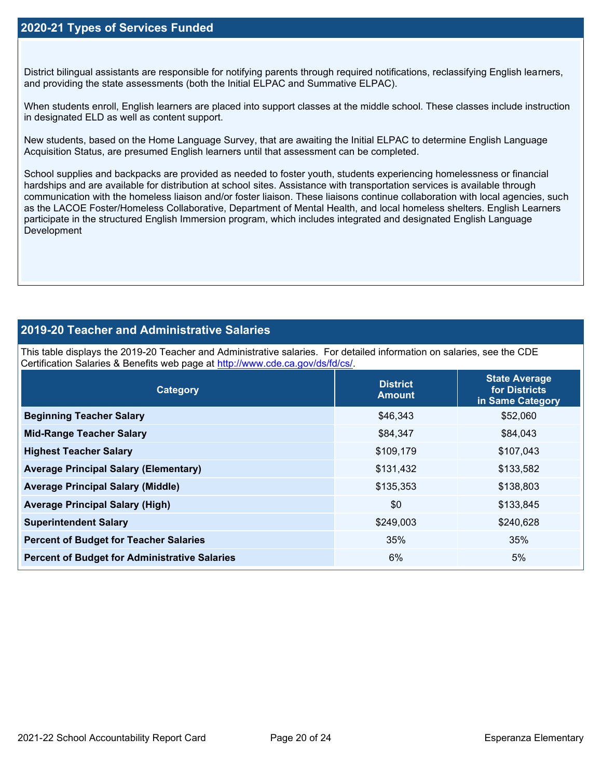District bilingual assistants are responsible for notifying parents through required notifications, reclassifying English learners, and providing the state assessments (both the Initial ELPAC and Summative ELPAC).

When students enroll, English learners are placed into support classes at the middle school. These classes include instruction in designated ELD as well as content support.

New students, based on the Home Language Survey, that are awaiting the Initial ELPAC to determine English Language Acquisition Status, are presumed English learners until that assessment can be completed.

School supplies and backpacks are provided as needed to foster youth, students experiencing homelessness or financial hardships and are available for distribution at school sites. Assistance with transportation services is available through communication with the homeless liaison and/or foster liaison. These liaisons continue collaboration with local agencies, such as the LACOE Foster/Homeless Collaborative, Department of Mental Health, and local homeless shelters. English Learners participate in the structured English Immersion program, which includes integrated and designated English Language **Development** 

# **2019-20 Teacher and Administrative Salaries**

This table displays the 2019-20 Teacher and Administrative salaries. For detailed information on salaries, see the CDE Certification Salaries & Benefits web page at [http://www.cde.ca.gov/ds/fd/cs/.](http://www.cde.ca.gov/ds/fd/cs/)

| Category                                             | <b>District</b><br><b>Amount</b> | <b>State Average</b><br>for Districts<br>in Same Category |
|------------------------------------------------------|----------------------------------|-----------------------------------------------------------|
| <b>Beginning Teacher Salary</b>                      | \$46,343                         | \$52,060                                                  |
| <b>Mid-Range Teacher Salary</b>                      | \$84,347                         | \$84,043                                                  |
| <b>Highest Teacher Salary</b>                        | \$109,179                        | \$107,043                                                 |
| <b>Average Principal Salary (Elementary)</b>         | \$131,432                        | \$133,582                                                 |
| <b>Average Principal Salary (Middle)</b>             | \$135,353                        | \$138,803                                                 |
| <b>Average Principal Salary (High)</b>               | \$0                              | \$133,845                                                 |
| <b>Superintendent Salary</b>                         | \$249,003                        | \$240,628                                                 |
| <b>Percent of Budget for Teacher Salaries</b>        | 35%                              | 35%                                                       |
| <b>Percent of Budget for Administrative Salaries</b> | 6%                               | 5%                                                        |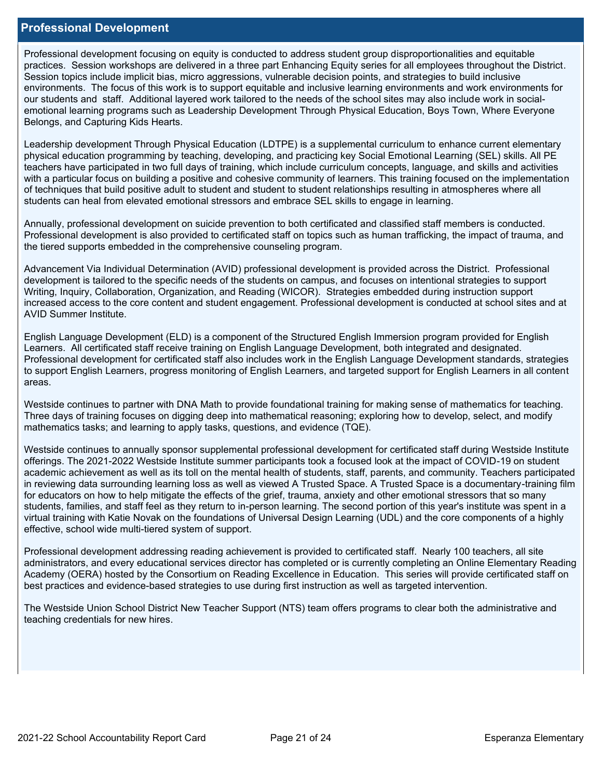### **Professional Development**

Professional development focusing on equity is conducted to address student group disproportionalities and equitable practices. Session workshops are delivered in a three part Enhancing Equity series for all employees throughout the District. Session topics include implicit bias, micro aggressions, vulnerable decision points, and strategies to build inclusive environments. The focus of this work is to support equitable and inclusive learning environments and work environments for our students and staff. Additional layered work tailored to the needs of the school sites may also include work in socialemotional learning programs such as Leadership Development Through Physical Education, Boys Town, Where Everyone Belongs, and Capturing Kids Hearts.

Leadership development Through Physical Education (LDTPE) is a supplemental curriculum to enhance current elementary physical education programming by teaching, developing, and practicing key Social Emotional Learning (SEL) skills. All PE teachers have participated in two full days of training, which include curriculum concepts, language, and skills and activities with a particular focus on building a positive and cohesive community of learners. This training focused on the implementation of techniques that build positive adult to student and student to student relationships resulting in atmospheres where all students can heal from elevated emotional stressors and embrace SEL skills to engage in learning.

Annually, professional development on suicide prevention to both certificated and classified staff members is conducted. Professional development is also provided to certificated staff on topics such as human trafficking, the impact of trauma, and the tiered supports embedded in the comprehensive counseling program.

Advancement Via Individual Determination (AVID) professional development is provided across the District. Professional development is tailored to the specific needs of the students on campus, and focuses on intentional strategies to support Writing, Inquiry, Collaboration, Organization, and Reading (WICOR). Strategies embedded during instruction support increased access to the core content and student engagement. Professional development is conducted at school sites and at AVID Summer Institute.

English Language Development (ELD) is a component of the Structured English Immersion program provided for English Learners. All certificated staff receive training on English Language Development, both integrated and designated. Professional development for certificated staff also includes work in the English Language Development standards, strategies to support English Learners, progress monitoring of English Learners, and targeted support for English Learners in all content areas.

Westside continues to partner with DNA Math to provide foundational training for making sense of mathematics for teaching. Three days of training focuses on digging deep into mathematical reasoning; exploring how to develop, select, and modify mathematics tasks; and learning to apply tasks, questions, and evidence (TQE).

Westside continues to annually sponsor supplemental professional development for certificated staff during Westside Institute offerings. The 2021-2022 Westside Institute summer participants took a focused look at the impact of COVID-19 on student academic achievement as well as its toll on the mental health of students, staff, parents, and community. Teachers participated in reviewing data surrounding learning loss as well as viewed A Trusted Space. A Trusted Space is a documentary-training film for educators on how to help mitigate the effects of the grief, trauma, anxiety and other emotional stressors that so many students, families, and staff feel as they return to in-person learning. The second portion of this year's institute was spent in a virtual training with Katie Novak on the foundations of Universal Design Learning (UDL) and the core components of a highly effective, school wide multi-tiered system of support.

Professional development addressing reading achievement is provided to certificated staff. Nearly 100 teachers, all site administrators, and every educational services director has completed or is currently completing an Online Elementary Reading Academy (OERA) hosted by the Consortium on Reading Excellence in Education. This series will provide certificated staff on best practices and evidence-based strategies to use during first instruction as well as targeted intervention.

The Westside Union School District New Teacher Support (NTS) team offers programs to clear both the administrative and teaching credentials for new hires.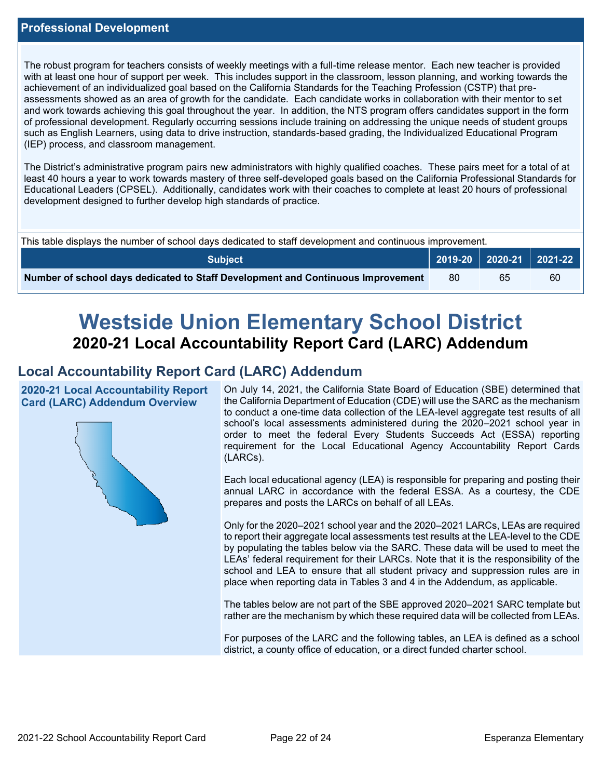The robust program for teachers consists of weekly meetings with a full-time release mentor. Each new teacher is provided with at least one hour of support per week. This includes support in the classroom, lesson planning, and working towards the achievement of an individualized goal based on the California Standards for the Teaching Profession (CSTP) that preassessments showed as an area of growth for the candidate. Each candidate works in collaboration with their mentor to set and work towards achieving this goal throughout the year. In addition, the NTS program offers candidates support in the form of professional development. Regularly occurring sessions include training on addressing the unique needs of student groups such as English Learners, using data to drive instruction, standards-based grading, the Individualized Educational Program (IEP) process, and classroom management.

The District's administrative program pairs new administrators with highly qualified coaches. These pairs meet for a total of at least 40 hours a year to work towards mastery of three self-developed goals based on the California Professional Standards for Educational Leaders (CPSEL). Additionally, candidates work with their coaches to complete at least 20 hours of professional development designed to further develop high standards of practice.

| This table displays the number of school days dedicated to staff development and continuous improvement. |  |                             |    |  |  |
|----------------------------------------------------------------------------------------------------------|--|-----------------------------|----|--|--|
| Subiect                                                                                                  |  | 2019-20   2020-21   2021-22 |    |  |  |
| Number of school days dedicated to Staff Development and Continuous Improvement                          |  | 65                          | 60 |  |  |

# **Westside Union Elementary School District 2020-21 Local Accountability Report Card (LARC) Addendum**

# **Local Accountability Report Card (LARC) Addendum**

**2020-21 Local Accountability Report Card (LARC) Addendum Overview**



On July 14, 2021, the California State Board of Education (SBE) determined that the California Department of Education (CDE) will use the SARC as the mechanism to conduct a one-time data collection of the LEA-level aggregate test results of all school's local assessments administered during the 2020–2021 school year in order to meet the federal Every Students Succeeds Act (ESSA) reporting requirement for the Local Educational Agency Accountability Report Cards (LARCs).

Each local educational agency (LEA) is responsible for preparing and posting their annual LARC in accordance with the federal ESSA. As a courtesy, the CDE prepares and posts the LARCs on behalf of all LEAs.

Only for the 2020–2021 school year and the 2020–2021 LARCs, LEAs are required to report their aggregate local assessments test results at the LEA-level to the CDE by populating the tables below via the SARC. These data will be used to meet the LEAs' federal requirement for their LARCs. Note that it is the responsibility of the school and LEA to ensure that all student privacy and suppression rules are in place when reporting data in Tables 3 and 4 in the Addendum, as applicable.

The tables below are not part of the SBE approved 2020–2021 SARC template but rather are the mechanism by which these required data will be collected from LEAs.

For purposes of the LARC and the following tables, an LEA is defined as a school district, a county office of education, or a direct funded charter school.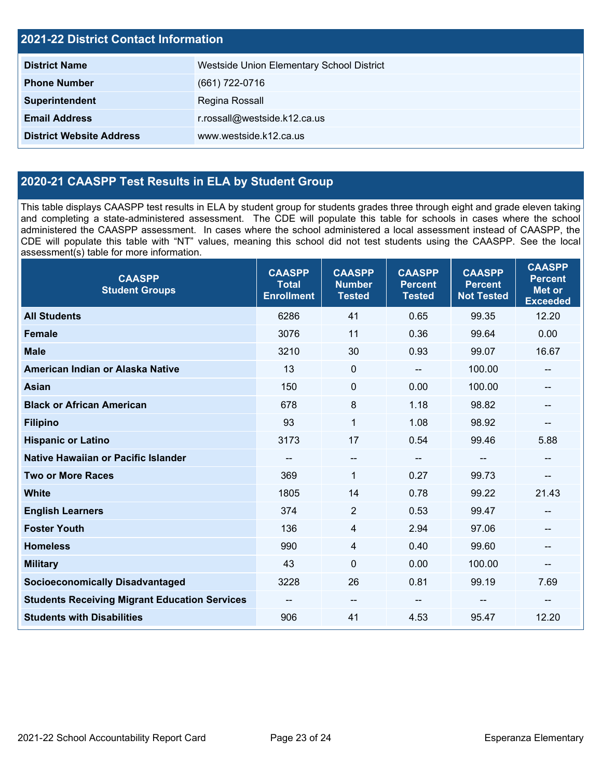| <b>2021-22 District Contact Information</b> |                                           |  |  |  |
|---------------------------------------------|-------------------------------------------|--|--|--|
| <b>District Name</b>                        | Westside Union Elementary School District |  |  |  |
| <b>Phone Number</b>                         | (661) 722-0716                            |  |  |  |
| Superintendent                              | Regina Rossall                            |  |  |  |
| <b>Email Address</b>                        | r.rossall@westside.k12.ca.us              |  |  |  |
| <b>District Website Address</b>             | www.westside.k12.ca.us                    |  |  |  |

# **2020-21 CAASPP Test Results in ELA by Student Group**

This table displays CAASPP test results in ELA by student group for students grades three through eight and grade eleven taking and completing a state-administered assessment. The CDE will populate this table for schools in cases where the school administered the CAASPP assessment. In cases where the school administered a local assessment instead of CAASPP, the CDE will populate this table with "NT" values, meaning this school did not test students using the CAASPP. See the local assessment(s) table for more information.

| <b>CAASPP</b><br><b>Student Groups</b>               | <b>CAASPP</b><br><b>Total</b><br><b>Enrollment</b> | <b>CAASPP</b><br><b>Number</b><br><b>Tested</b> | <b>CAASPP</b><br><b>Percent</b><br><b>Tested</b> | <b>CAASPP</b><br><b>Percent</b><br><b>Not Tested</b> | <b>CAASPP</b><br><b>Percent</b><br><b>Met or</b><br><b>Exceeded</b> |
|------------------------------------------------------|----------------------------------------------------|-------------------------------------------------|--------------------------------------------------|------------------------------------------------------|---------------------------------------------------------------------|
| <b>All Students</b>                                  | 6286                                               | 41                                              | 0.65                                             | 99.35                                                | 12.20                                                               |
| <b>Female</b>                                        | 3076                                               | 11                                              | 0.36                                             | 99.64                                                | 0.00                                                                |
| <b>Male</b>                                          | 3210                                               | 30                                              | 0.93                                             | 99.07                                                | 16.67                                                               |
| American Indian or Alaska Native                     | 13                                                 | $\mathbf 0$                                     | $\sim$ $\sim$                                    | 100.00                                               | --                                                                  |
| <b>Asian</b>                                         | 150                                                | $\pmb{0}$                                       | 0.00                                             | 100.00                                               |                                                                     |
| <b>Black or African American</b>                     | 678                                                | 8                                               | 1.18                                             | 98.82                                                | --                                                                  |
| <b>Filipino</b>                                      | 93                                                 | $\mathbf{1}$                                    | 1.08                                             | 98.92                                                | --                                                                  |
| <b>Hispanic or Latino</b>                            | 3173                                               | 17                                              | 0.54                                             | 99.46                                                | 5.88                                                                |
| <b>Native Hawaiian or Pacific Islander</b>           | --                                                 | $\overline{\phantom{a}}$                        | $\overline{\phantom{a}}$                         | $-$                                                  | --                                                                  |
| <b>Two or More Races</b>                             | 369                                                | $\mathbf{1}$                                    | 0.27                                             | 99.73                                                | --                                                                  |
| <b>White</b>                                         | 1805                                               | 14                                              | 0.78                                             | 99.22                                                | 21.43                                                               |
| <b>English Learners</b>                              | 374                                                | $\overline{2}$                                  | 0.53                                             | 99.47                                                | --                                                                  |
| <b>Foster Youth</b>                                  | 136                                                | 4                                               | 2.94                                             | 97.06                                                |                                                                     |
| <b>Homeless</b>                                      | 990                                                | $\overline{4}$                                  | 0.40                                             | 99.60                                                | --                                                                  |
| <b>Military</b>                                      | 43                                                 | $\mathbf 0$                                     | 0.00                                             | 100.00                                               | --                                                                  |
| <b>Socioeconomically Disadvantaged</b>               | 3228                                               | 26                                              | 0.81                                             | 99.19                                                | 7.69                                                                |
| <b>Students Receiving Migrant Education Services</b> | --                                                 | $\overline{\phantom{a}}$                        |                                                  | --                                                   | --                                                                  |
| <b>Students with Disabilities</b>                    | 906                                                | 41                                              | 4.53                                             | 95.47                                                | 12.20                                                               |